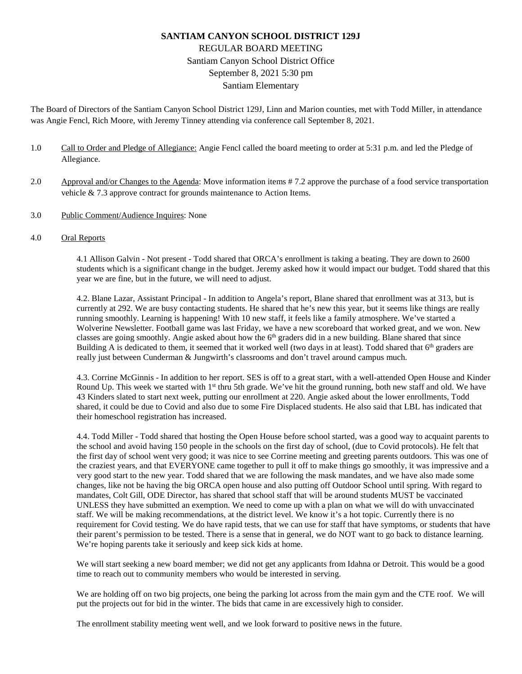# **SANTIAM CANYON SCHOOL DISTRICT 129J** REGULAR BOARD MEETING Santiam Canyon School District Office September 8, 2021 5:30 pm Santiam Elementary

The Board of Directors of the Santiam Canyon School District 129J, Linn and Marion counties, met with Todd Miller, in attendance was Angie Fencl, Rich Moore, with Jeremy Tinney attending via conference call September 8, 2021.

- 1.0 Call to Order and Pledge of Allegiance: Angie Fencl called the board meeting to order at 5:31 p.m. and led the Pledge of Allegiance.
- 2.0 Approval and/or Changes to the Agenda: Move information items # 7.2 approve the purchase of a food service transportation vehicle & 7.3 approve contract for grounds maintenance to Action Items.
- 3.0 Public Comment/Audience Inquires: None
- 4.0 Oral Reports

4.1 Allison Galvin - Not present - Todd shared that ORCA's enrollment is taking a beating. They are down to 2600 students which is a significant change in the budget. Jeremy asked how it would impact our budget. Todd shared that this year we are fine, but in the future, we will need to adjust.

4.2. Blane Lazar, Assistant Principal - In addition to Angela's report, Blane shared that enrollment was at 313, but is currently at 292. We are busy contacting students. He shared that he's new this year, but it seems like things are really running smoothly. Learning is happening! With 10 new staff, it feels like a family atmosphere. We've started a Wolverine Newsletter. Football game was last Friday, we have a new scoreboard that worked great, and we won. New classes are going smoothly. Angie asked about how the 6<sup>th</sup> graders did in a new building. Blane shared that since Building A is dedicated to them, it seemed that it worked well (two days in at least). Todd shared that  $6<sup>th</sup>$  graders are really just between Cunderman & Jungwirth's classrooms and don't travel around campus much.

4.3. Corrine McGinnis - In addition to her report. SES is off to a great start, with a well-attended Open House and Kinder Round Up. This week we started with 1<sup>st</sup> thru 5th grade. We've hit the ground running, both new staff and old. We have 43 Kinders slated to start next week, putting our enrollment at 220. Angie asked about the lower enrollments, Todd shared, it could be due to Covid and also due to some Fire Displaced students. He also said that LBL has indicated that their homeschool registration has increased.

4.4. Todd Miller - Todd shared that hosting the Open House before school started, was a good way to acquaint parents to the school and avoid having 150 people in the schools on the first day of school, (due to Covid protocols). He felt that the first day of school went very good; it was nice to see Corrine meeting and greeting parents outdoors. This was one of the craziest years, and that EVERYONE came together to pull it off to make things go smoothly, it was impressive and a very good start to the new year. Todd shared that we are following the mask mandates, and we have also made some changes, like not be having the big ORCA open house and also putting off Outdoor School until spring. With regard to mandates, Colt Gill, ODE Director, has shared that school staff that will be around students MUST be vaccinated UNLESS they have submitted an exemption. We need to come up with a plan on what we will do with unvaccinated staff. We will be making recommendations, at the district level. We know it's a hot topic. Currently there is no requirement for Covid testing. We do have rapid tests, that we can use for staff that have symptoms, or students that have their parent's permission to be tested. There is a sense that in general, we do NOT want to go back to distance learning. We're hoping parents take it seriously and keep sick kids at home.

We will start seeking a new board member; we did not get any applicants from Idahna or Detroit. This would be a good time to reach out to community members who would be interested in serving.

We are holding off on two big projects, one being the parking lot across from the main gym and the CTE roof. We will put the projects out for bid in the winter. The bids that came in are excessively high to consider.

The enrollment stability meeting went well, and we look forward to positive news in the future.